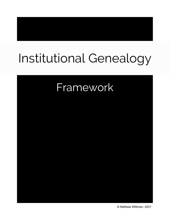# Institutional Genealogy

# Framework

© Aletheia Wittman, 2021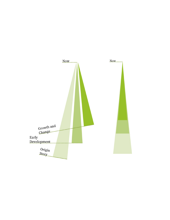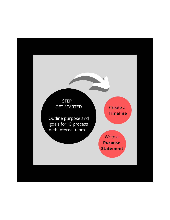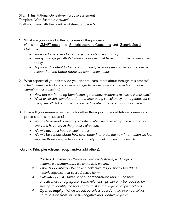#### STEP 1: Institutional Genealogy Purpose Statement

Template (With Example Answers) Draft your own with the blank worksheet on page 5.

- 1. What are your goals for the outcomes of this process? (Consider [SMART goals](https://cce.bard.edu/files/Setting-Goals.pdf) and [Generic Learning Outcomes](https://www.artscouncil.org.uk/measuring-outcomes/generic-learning-outcomes#section-2) a[nd Generic Soc](https://www.artscouncil.org.uk/generic-social-outcomes/importance-gsos#section-1)ial [Outcomes.](https://www.artscouncil.org.uk/generic-social-outcomes/importance-gsos#section-1))
	- *●* Improved awareness for our organization's role in history.
	- *●* Ready to engage with 2-3 areas of our past that have contributed to inequities today.
	- *●* Topics and content to frame a community listening session series intended to respond to and better represent community needs.
- 2. What aspects of your history do you want to learn more about through this process? (The IG timeline tool and conversation guide can support your reflection on how to complete this question.)
	- *●* How did our founding benefactors get money/resources to start this museum?
	- *●* What exclusions contributed to our area being so culturally homogenous for so many years? Did our organization participate in those exclusions? How so?
- 3. How will your museum team work together throughout the institutional genealogy process to ensure success?
	- *●* We will have weekly meetings to share what we learn along the way and so everyone has a say in the process direction.
	- *●* We will devote x hours a week to this.
	- *●* We will be curious about how each other interprets the new information we learn and use those perspectives and curiosity to fuel continuing research.

#### Guiding Principles (discuss, adopt and/or add others):

- *1.* Practice Authenticity When we own our histories, and align our actions, we demonstrate we know who we are.
- *2.* Take Responsibility We have a collective responsibility to address historic legacies that caused/cause harm.
- *3.* Cultivating Trust Mistrust of our organizations undermine their effectiveness and purpose. Some relationships can only be repaired by striving to identify the roots of mistrust in the legacies of past actions.
- *4.* Open to Inquiry When we ask ourselves questions we open ourselves up to lessons from our past—negative and positive legacies.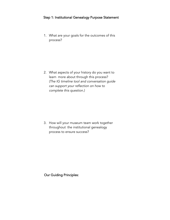#### Step 1: Institutional Genealogy Purpose Statement

1. What are your goals for the outcomes of this process?

2. What aspects of your history do you want to learn more about through this process? (The IG timeline tool and conversation guide can support your reflection on how to complete this question.)

3. How will your museum team work together throughout the institutional genealogy process to ensure success?

Our Guiding Principles: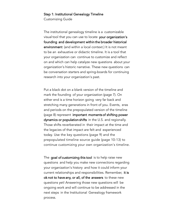#### Step 1: Institutional Genealogy Timeline

Customizing Guide

The institutional genealogy timeline is a customizable visual tool that you can use to locate your organization's founding and development within the broader historical environment (and within a local context.) It is not meant to be an exhaustive or didactic timeline. It is a tool that your organization can continue to customize and reflect on and which can help catalyze new questions about your organization's historic narrative. These new questions can be conversation starters and spring-boards for continuing research into your organization's past.

Put a black dot on a blank version of the timeline and mark the founding of your organization (page 7). On either end is a time horizon going very far back and stretching many generations in front of you. Events, eras and periods on the prepopulated version of the timeline (page 8) represent important moments of shifting power dynamics or population shifts in the U.S. and regionally. Those shifts reverberated in their impact at the time and the legacies of that impact are felt and experienced today. Use the key questions (page 9) and the prepopulated timeline source guide (page 10-13) to continue customizing your own organization's timeline.

The goal of customizing this tool is to help raise new questions and help you make new connections regarding your organization's history and how it could inform your current relationships and responsibilities. Remember, it is ok not to have any, or all, of the answers to these new questions yet! Answering those new questions will be ongoing work and will continue to be addressed in the next steps in the Institutional Genealogy framework process.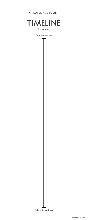Time Immemorial

## A PEOPLE AND POWER



### Future Generations

©Aletheia Wittman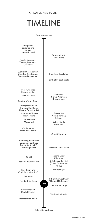### A PEOPLE AND POWER

# TIMELINE

Indigenous societies and culture (are still here)

Trade, Exchange, Visitors, Pandemic, Genocide

(Settler) Colonization, Manifest Destiny and Westward Movement

> Treaty Era, Native American Displacement

Industrial Revolution

Labor Rights Movement

Trans-atlantic slave trade

**Confederate** Monument Boom

Urban Anti-Chinese **Insurrections** 

Birth of Police Patrols

Post-Civil War Reconstruction

Time Immemorial

Immigration Boom, Immigration Bans, Chinese Exclusion Act

Jim Crow Laws



Sundown Town Boom

Dawes Act Native Bording Schools

City Beautiful Movement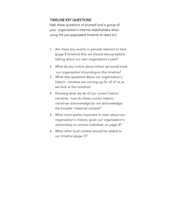#### TIMELINE KEY QUESTIONS

(Ask these questions of yourself and a group of your organization's internal stakeholders when using the pre-populated timeline to react to.)

- 1. Are there any events or periods referred to here (page 8 timeline) that we should discuss before talking about our own organization's past?
- 2. What do you notice about where we would mark our organization's founding on this timeline?
- 3. What new questions about our organization's historic narrative are coming up for all of us as we look at this timeline?
- 4. Knowing what we do of our current historic narrative, how do these current historic narratives acknowledge (or not acknowledge) the broader historical context?
- 5. What more seems important to learn about our organization's history, given our organization's relationship to context indicated on page 8?
- 6. What other local context should be added to our timeline (page 7)?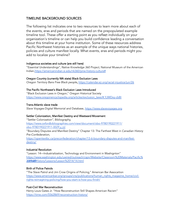#### TIMELINE BACKGROUND SOURCES

The following list indicates one to two resources to learn more about each of the events, eras and periods that are named on the prepopulated example timeline tool. These offer a starting point as you reflect individually on your organization's timeline or can help you build confidence leading a conversation about this timeline at your home institution. Some of these resources address Pacific Northwest histories as an example of the unique ways national histories, policies and culture manifest locally. What events, eras and periods might you add to localize your timeline?

#### Indigenous societies and culture (are still here)

"Essential Understandings", Native Knowledge 360 Project, National Museum of the American Indian[,https://americanindian.si.edu/nk360/pnw-history-culture#](https://americanindian.si.edu/nk360/pnw-history-culture#)

#### Oregon Country (currently WA state) Black Exclusion Laws

Oregon Territory Bans Free Black people,<https://calendar.eji.org/racial-injustice/jun/26>

#### The Pacific Northwest's Black Exclusion Laws Introduced

"Black Exclusion Laws in Oregon," Oregon Historical Society [https://www.oregonencyclopedia.org/articles/exclusion\\_laws/#.YJWDxy-cbBI](https://www.oregonencyclopedia.org/articles/exclusion_laws/#.YJWDxy-cbBI)

#### Trans-Atlantic slave trade

Slave Voyages Digital Memorial and Database, <https://www.slavevoyages.org>

#### Settler Colonization, Manifest Destiny and Westward Movement

"Settler Colonization", Bibliography, [https://www.oxfordbibliographies.com/view/document/obo-9780190221911/](https://www.oxfordbibliographies.com/view/document/obo-9780190221911/obo-9780190221911-0029.xml) obo-9780190221911-0029.x [ml](https://www.oxfordbibliographies.com/view/document/obo-9780190221911/obo-9780190221911-0029.xml) "Boundary Disputes and Manifest Destiny" Chapter 13: The Farthest West in Canadian History

Pre-Confederation,

[https://opentextbc.ca/preconfederation/chapter/13-6-boundary-disputes-and-manifest](https://opentextbc.ca/preconfederation/chapter/13-6-boundary-disputes-and-manifest-destiny/)destiny/

#### Industrial Revolution

"Lesson: 14—Industrialization, Technology and Environment in Washignton" [https://www.washington.edu/uwired/outreach/cspn/Website/Classroom%20Materials/Pacific%](https://www.washington.edu/uwired/outreach/cspn/Website/Classroom%20Materials/Pacific%20Northwest%20History/Lessons/Lesson%2014/14.html) 2014/14.html

#### Birth of Police Patrols

"The Slave Patrol and Jim Crow Origins of Policing," American Bar Assocaition [https://www.americanbar.org/groups/crsj/publications/human\\_rights\\_magazine\\_home/civil](https://www.americanbar.org/groups/crsj/publications/human_rights_magazine_home/civil-rights-reimagining-policing/how-you-start-is-how-you-finish/)rights-reimagi[ning-policing/how-you-start-is-how-you-finish/](https://www.americanbar.org/groups/crsj/publications/human_rights_magazine_home/civil-rights-reimagining-policing/how-you-start-is-how-you-finish/)

#### Post-Civil War Reconstruction

Henry Louis Gates Jr. "How Reconstruction Still Shapes American Racism" <https://time.com/5562869/reconstruction-history/>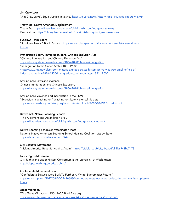#### Jim Crow Laws

"Jim Crow Laws", Equal Justice Initiative, <https://eji.org/news/history-racial-injustice-jim-crow-laws/>

#### Treaty Era, Native American Displacement

Treaty Era <https://library.law.howard.edu/civilrightshistory/indigenous/treaty> Removal Era <https://library.law.howard.edu/civilrightshistory/indigenous/removal>

#### Sundown Town Boom

"Sundown Towns", Black Past.org [https://www.blackpast.org/african-american-history/sundown](https://www.blackpast.org/african-american-history/sundown-towns/)towns/

#### Immigration Boom, Immigration Bans, Chinese Exclusion Act

"Chinese Immigration and Chinese Exclusion Act" <https://history.state.gov/milestones/1866-1898/chinese-immigration> "Immigration to the United States 1851-1900" [https://www.loc.gov/classroom-materials/united-states-history-primary-source-timeline/rise-of](https://www.loc.gov/classroom-materials/united-states-history-primary-source-timeline/rise-of-industrial-america-1876-1900/immigration-to-united-states-1851-1900/)industrial-[america-1876-1900/immigration-to-united-states-1851-1900/](https://www.loc.gov/classroom-materials/united-states-history-primary-source-timeline/rise-of-industrial-america-1876-1900/immigration-to-united-states-1851-1900/)

#### Anti-Chinese Laws and Violence

Chinese Immigration and Chinese Exclusion, <https://history.state.gov/milestones/1866-1898/chinese-immigration>

#### Anti-Chinese Violence and Insurrection in the PNW

"Exclusion in Washington" Washington State Historical Society <https://www.washingtonhistory.org/wp-content/uploads/2020/04/WAExclusion.pdf>

#### Dawes Act, Native Boarding Schools

"The Allotment and Assimilation Era", <https://library.law.howard.edu/civilrightshistory/indigenous/allotment>

#### Native Boarding Schools in Washington State

National Native American Boarding School Healing Coalition List by State, <https://boardingschoolhealing.org/list/>

#### City Beautiful Movement

"Making America Beautiful Again...Again" <https://eidolon.pub/city-beautiful-9b6943bc7473>

#### Labor Rights Movement

Civil Rights and Labor History Consortium a the University of Washington <http://depts.washington.edu/labhist/>

#### Confederate Monument Boom

"Confederate Statues Were Built To Further A 'White Supremacist Future," https://www.npr.org/2017/08/20/544266880/confederate-statues-were-built-to-further-a-white-supremac future

#### Great Migration

"The Great Migration: 1950-1960," BlackPast.org <https://www.blackpast.org/african-american-history/great-migration-1915-1960/>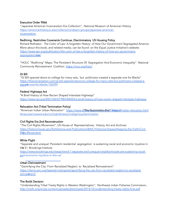#### Executive Order 9066

"Japanese American Incarceration Era Collection", National Museum of American History [https://americanhistory.si.edu/collections/object-groups/japanese-american](https://americanhistory.si.edu/collections/object-groups/japanese-american-incarceration)incarceration

#### Redlining, Restrictive Covenants Continue, Discriminatory US Housing Policy

Richard Rothstein. The Color of Law: A forgotten History of How Our Government Segregated America More about this book, and related media, can be found on the Equal Justice Initiative's website: [https://www.epi.org/publication/the-color-of-law-a-forgotten-history-of-how-our-government](https://www.epi.org/publication/the-color-of-law-a-forgotten-history-of-how-our-government-segregated-america/)segregated-arma/

"HOLC "Redlining" Maps: The Persistent Structure Of Segregation And Economic Inequality" National Community Reinvestment Coalition <https://ncrc.org/holc/>

#### GI Bill

"GI Bill opened doors to college for many vets, but politicians created a separate one for Blacks" [https://theconversation.com/gi-bill-opened-doors-to-college-for-many-vets-but-politicians-created-a](https://theconversation.com/gi-bill-opened-doors-to-college-for-many-vets-but-politicians-created-a-separate-one-for-blacks-126394)sepa[rtae-one-for-blacks-126394](https://theconversation.com/gi-bill-opened-doors-to-college-for-many-vets-but-politicians-created-a-separate-one-for-blacks-126394)

#### Federal Highways Act

"A Brief History of How Racism Shaped Interstate Highways" <https://www.npr.org/2021/04/07/984784455/a-brief-history-of-how-racism-shaped-interstate-highways>

#### Relocation Act (Tribal Termination Policy)

"American Indian Urban Relocation" https://www.ardhivedentionation=trant/letspons/indian-relocation.html [library.law.howard.edu/civilrightshistory/indigenous/termination](https://library.law.howard.edu/civilrightshistory/indigenous/termination)

#### Civil Rights Era 2nd Reconstruction

"The Civil Rights Movement", US House of Representatives, History, Art and Archives [https://history.house.gov/Exhibitions-and-Publications/BAIC/Historical-Essays/Keeping-the-Faith/Civil-](https://history.house.gov/Exhibitions-and-Publications/BAIC/Historical-Essays/Keeping-the-Faith/Civil-Rights-Movement/)R[ihgts-Movement/](https://history.house.gov/Exhibitions-and-Publications/BAIC/Historical-Essays/Keeping-the-Faith/Civil-Rights-Movement/)

#### White Flight

"Separate and unequal: Persistent residential segregation is sustaining racial and economic injustice in the.S", Brookings Institute

[https://www.brookings.edu/essay/trend-1-separate-and-unequal-neighborhoods-are-sustaining-racial](https://www.brookings.edu/essay/trend-1-separate-and-unequal-neighborhoods-are-sustaining-racial-and-economic-injustice-in-the-us/)and[-economic-injustice-in-the-us/](https://www.brookings.edu/essay/trend-1-separate-and-unequal-neighborhoods-are-sustaining-racial-and-economic-injustice-in-the-us/)

#### Urban Disinvestment

"Gentrifying the City: From Racialized Neglect to Racialized Reinvestment" [https://items.ssrc.org/layered-metropolis/gentrifying-the-city-from-racialized-neglect-to-racialized](https://items.ssrc.org/layered-metropolis/gentrifying-the-city-from-racialized-neglect-to-racialized-reinvestment/)reinvesthent/

#### The Boldt Decision

"Understanding Tribal Treaty Rights in Western Washington", Northwest indian Fisheries Commission, <http://nwifc.org/w/wp-content/uploads/downloads/2014/10/understanding-treaty-rights-final.pdf>